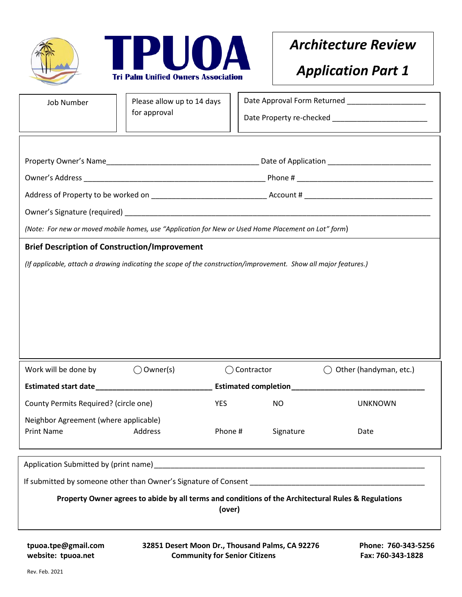



## *Architecture Review*

## *Application Part 1*

| <b>Job Number</b>                                                                                                                    | Please allow up to 14 days<br>for approval |            |                                      | Date Approval Form Returned ___________________<br>Date Property re-checked ___________________________ |  |
|--------------------------------------------------------------------------------------------------------------------------------------|--------------------------------------------|------------|--------------------------------------|---------------------------------------------------------------------------------------------------------|--|
|                                                                                                                                      |                                            |            |                                      |                                                                                                         |  |
|                                                                                                                                      |                                            |            |                                      |                                                                                                         |  |
|                                                                                                                                      |                                            |            |                                      |                                                                                                         |  |
|                                                                                                                                      |                                            |            |                                      |                                                                                                         |  |
|                                                                                                                                      |                                            |            |                                      |                                                                                                         |  |
|                                                                                                                                      |                                            |            |                                      |                                                                                                         |  |
| (Note: For new or moved mobile homes, use "Application for New or Used Home Placement on Lot" form)                                  |                                            |            |                                      |                                                                                                         |  |
| <b>Brief Description of Construction/Improvement</b>                                                                                 |                                            |            |                                      |                                                                                                         |  |
| (If applicable, attach a drawing indicating the scope of the construction/improvement. Show all major features.)                     |                                            |            |                                      |                                                                                                         |  |
|                                                                                                                                      |                                            |            |                                      |                                                                                                         |  |
|                                                                                                                                      |                                            |            |                                      |                                                                                                         |  |
|                                                                                                                                      |                                            |            |                                      |                                                                                                         |  |
|                                                                                                                                      |                                            |            |                                      |                                                                                                         |  |
|                                                                                                                                      |                                            |            |                                      |                                                                                                         |  |
| Work will be done by                                                                                                                 | $\bigcirc$ Owner(s)                        |            | Contractor<br>Other (handyman, etc.) |                                                                                                         |  |
|                                                                                                                                      |                                            |            |                                      |                                                                                                         |  |
| County Permits Required? (circle one)                                                                                                |                                            | <b>YES</b> | <b>NO</b>                            | <b>UNKNOWN</b>                                                                                          |  |
| Neighbor Agreement (where applicable)                                                                                                |                                            |            |                                      |                                                                                                         |  |
| <b>Print Name</b>                                                                                                                    | Address                                    | Phone #    | Signature                            | Date                                                                                                    |  |
|                                                                                                                                      |                                            |            |                                      |                                                                                                         |  |
|                                                                                                                                      |                                            |            |                                      |                                                                                                         |  |
|                                                                                                                                      |                                            |            |                                      |                                                                                                         |  |
| Property Owner agrees to abide by all terms and conditions of the Architectural Rules & Regulations                                  |                                            |            |                                      |                                                                                                         |  |
| (over)                                                                                                                               |                                            |            |                                      |                                                                                                         |  |
|                                                                                                                                      |                                            |            |                                      |                                                                                                         |  |
| 32851 Desert Moon Dr., Thousand Palms, CA 92276<br>tpuoa.tpe@gmail.com<br>website: tpuoa.net<br><b>Community for Senior Citizens</b> |                                            |            |                                      | Phone: 760-343-5256<br>Fax: 760-343-1828                                                                |  |